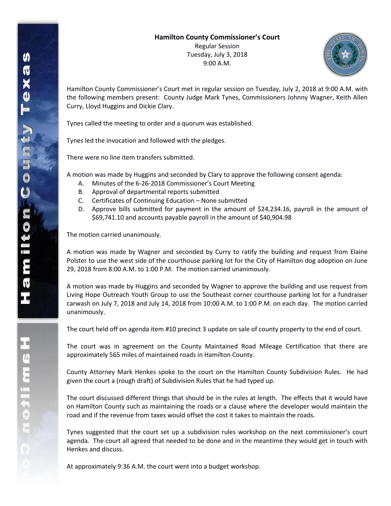Regular Session Tuesday, July 3, 2018 9:00 A.M.



Hamilton County Commissioner's Court met in regular session on Tuesday, July 2, 2018 at 9:00 A.M. with the following members present: County Judge Mark Tynes, Commissioners Johnny Wagner, Keith Allen Curry, Lloyd Huggins and Dickie Clary.

Tynes called the meeting to order and a quorum was established.

Tynes led the invocation and followed with the pledges.

There were no line item transfers submitted.

A motion was made by Huggins and seconded by Clary to approve the following consent agenda:

- A. Minutes of the 6-26-2018 Commissioner's Court Meeting
- B. Approval of departmental reports submitted
- C. Certificates of Continuing Education None submitted
- D. Approve bills submitted for payment in the amount of \$24,234.16, payroll in the amount of \$69,741.10 and accounts payable payroll in the amount of \$40,904.98

The motion carried unanimously.

A motion was made by Wagner and seconded by Curry to ratify the building and request from Elaine Polster to use the west side of the courthouse parking lot for the City of Hamilton dog adoption on June 29, 2018 from 8:00 A.M. to 1:00 P.M. The motion carried unanimously.

A motion was made by Huggins and seconded by Wagner to approve the building and use request from Living Hope Outreach Youth Group to use the Southeast corner courthouse parking lot for a fundraiser carwash on July 7, 2018 and July 14, 2018 from 10:00 A.M. to 1:00 P.M. on each day. The motion carried unanimously.

The court held off on agenda item #10 precinct 3 update on sale of county property to the end of court.

The court was in agreement on the County Maintained Road Mileage Certification that there are approximately 565 miles of maintained roads in Hamilton County.

County Attorney Mark Henkes spoke to the court on the Hamilton County Subdivision Rules. He had given the court a (rough draft) of Subdivision Rules that he had typed up.

The court discussed different things that should be in the rules at length. The effects that it would have on Hamilton County such as maintaining the roads or a clause where the developer would maintain the road and if the revenue from taxes would offset the cost it takes to maintain the roads.

Tynes suggested that the court set up a subdivision rules workshop on the next commissioner's court agenda. The court all agreed that needed to be done and in the meantime they would get in touch with Henkes and discuss.

At approximately 9:36 A.M. the court went into a budget workshop.